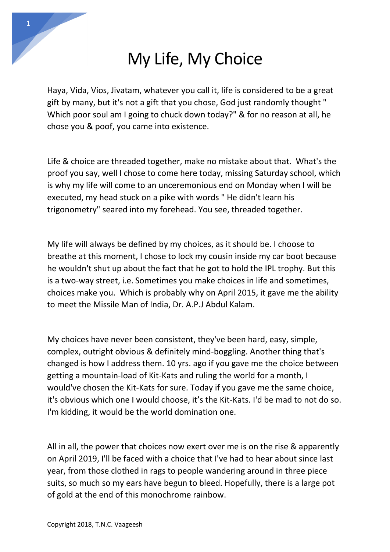## My Life, My Choice

Haya, Vida, Vios, Jivatam, whatever you call it, life is considered to be a great gift by many, but it's not a gift that you chose, God just randomly thought " Which poor soul am I going to chuck down today?" & for no reason at all, he chose you & poof, you came into existence.

Life & choice are threaded together, make no mistake about that. What's the proof you say, well I chose to come here today, missing Saturday school, which is why my life will come to an unceremonious end on Monday when I will be executed, my head stuck on a pike with words " He didn't learn his trigonometry" seared into my forehead. You see, threaded together.

My life will always be defined by my choices, as it should be. I choose to breathe at this moment, I chose to lock my cousin inside my car boot because he wouldn't shut up about the fact that he got to hold the IPL trophy. But this is a two-way street, i.e. Sometimes you make choices in life and sometimes, choices make you. Which is probably why on April 2015, it gave me the ability to meet the Missile Man of India, Dr. A.P.J Abdul Kalam.

My choices have never been consistent, they've been hard, easy, simple, complex, outright obvious & definitely mind-boggling. Another thing that's changed is how I address them. 10 yrs. ago if you gave me the choice between getting a mountain-load of Kit-Kats and ruling the world for a month, I would've chosen the Kit-Kats for sure. Today if you gave me the same choice, it's obvious which one I would choose, it's the Kit-Kats. I'd be mad to not do so. I'm kidding, it would be the world domination one.

All in all, the power that choices now exert over me is on the rise & apparently on April 2019, I'll be faced with a choice that I've had to hear about since last year, from those clothed in rags to people wandering around in three piece suits, so much so my ears have begun to bleed. Hopefully, there is a large pot of gold at the end of this monochrome rainbow.